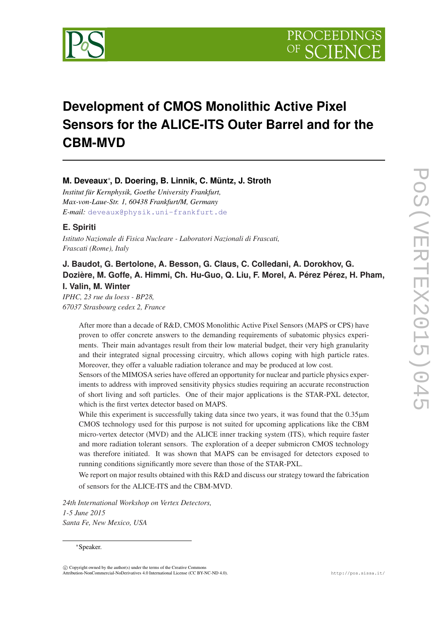

# **Development of CMOS Monolithic Active Pixel Sensors for the ALICE-ITS Outer Barrel and for the CBM-MVD**

# **M. Deveaux**<sup>∗</sup> **, D. Doering, B. Linnik, C. Müntz, J. Stroth**

*Institut für Kernphysik, Goethe University Frankfurt, Max-von-Laue-Str. 1, 60438 Frankfurt/M, Germany E-mail:* [deveaux@physik.uni-frankfurt.de](mailto:deveaux@physik.uni-frankfurt.de)

# **E. Spiriti**

*Istituto Nazionale di Fisica Nucleare - Laboratori Nazionali di Frascati, Frascati (Rome), Italy*

# **J. Baudot, G. Bertolone, A. Besson, G. Claus, C. Colledani, A. Dorokhov, G. Dozière, M. Goffe, A. Himmi, Ch. Hu-Guo, Q. Liu, F. Morel, A. Pérez Pérez, H. Pham, I. Valin, M. Winter**

*IPHC, 23 rue du loess - BP28, 67037 Strasbourg cedex 2, France*

> After more than a decade of R&D, CMOS Monolithic Active Pixel Sensors (MAPS or CPS) have proven to offer concrete answers to the demanding requirements of subatomic physics experiments. Their main advantages result from their low material budget, their very high granularity and their integrated signal processing circuitry, which allows coping with high particle rates. Moreover, they offer a valuable radiation tolerance and may be produced at low cost.

> Sensors of the MIMOSA series have offered an opportunity for nuclear and particle physics experiments to address with improved sensitivity physics studies requiring an accurate reconstruction of short living and soft particles. One of their major applications is the STAR-PXL detector, which is the first vertex detector based on MAPS.

> While this experiment is successfully taking data since two years, it was found that the 0.35 $\mu$ m CMOS technology used for this purpose is not suited for upcoming applications like the CBM micro-vertex detector (MVD) and the ALICE inner tracking system (ITS), which require faster and more radiation tolerant sensors. The exploration of a deeper submicron CMOS technology was therefore initiated. It was shown that MAPS can be envisaged for detectors exposed to running conditions significantly more severe than those of the STAR-PXL.

> We report on major results obtained with this R&D and discuss our strategy toward the fabrication of sensors for the ALICE-ITS and the CBM-MVD.

*24th International Workshop on Vertex Detectors, 1-5 June 2015 Santa Fe, New Mexico, USA*

#### <sup>∗</sup>Speaker.

 $\overline{c}$  Copyright owned by the author(s) under the terms of the Creative Commons Attribution-NonCommercial-NoDerivatives 4.0 International License (CC BY-NC-ND 4.0). http://pos.sissa.it/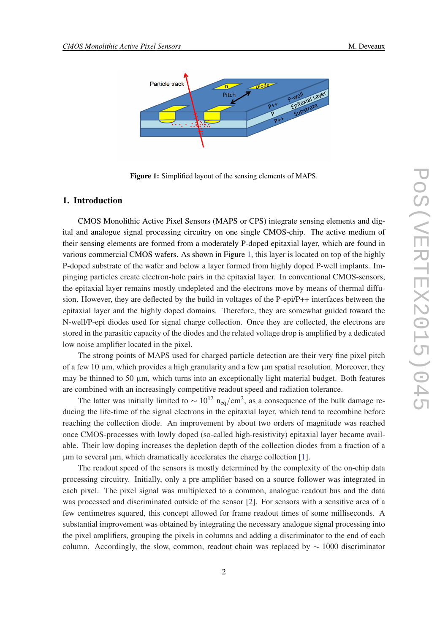

Figure 1: Simplified layout of the sensing elements of MAPS.

## 1. Introduction

CMOS Monolithic Active Pixel Sensors (MAPS or CPS) integrate sensing elements and digital and analogue signal processing circuitry on one single CMOS-chip. The active medium of their sensing elements are formed from a moderately P-doped epitaxial layer, which are found in various commercial CMOS wafers. As shown in Figure 1, this layer is located on top of the highly P-doped substrate of the wafer and below a layer formed from highly doped P-well implants. Impinging particles create electron-hole pairs in the epitaxial layer. In conventional CMOS-sensors, the epitaxial layer remains mostly undepleted and the electrons move by means of thermal diffusion. However, they are deflected by the build-in voltages of the P-epi/P++ interfaces between the epitaxial layer and the highly doped domains. Therefore, they are somewhat guided toward the N-well/P-epi diodes used for signal charge collection. Once they are collected, the electrons are stored in the parasitic capacity of the diodes and the related voltage drop is amplified by a dedicated low noise amplifier located in the pixel.

The strong points of MAPS used for charged particle detection are their very fine pixel pitch of a few 10  $\mu$ m, which provides a high granularity and a few  $\mu$ m spatial resolution. Moreover, they may be thinned to 50  $\mu$ m, which turns into an exceptionally light material budget. Both features are combined with an increasingly competitive readout speed and radiation tolerance.

The latter was initially limited to  $\sim 10^{12}$  n<sub>eq</sub>/cm<sup>2</sup>, as a consequence of the bulk damage reducing the life-time of the signal electrons in the epitaxial layer, which tend to recombine before reaching the collection diode. An improvement by about two orders of magnitude was reached once CMOS-processes with lowly doped (so-called high-resistivity) epitaxial layer became available. Their low doping increases the depletion depth of the collection diodes from a fraction of a  $\mu$ m to several  $\mu$ m, which dramatically accelerates the charge collection [[1](#page-7-0)].

The readout speed of the sensors is mostly determined by the complexity of the on-chip data processing circuitry. Initially, only a pre-amplifier based on a source follower was integrated in each pixel. The pixel signal was multiplexed to a common, analogue readout bus and the data was processed and discriminated outside of the sensor [\[2\]](#page-7-0). For sensors with a sensitive area of a few centimetres squared, this concept allowed for frame readout times of some milliseconds. A substantial improvement was obtained by integrating the necessary analogue signal processing into the pixel amplifiers, grouping the pixels in columns and adding a discriminator to the end of each column. Accordingly, the slow, common, readout chain was replaced by  $\sim 1000$  discriminator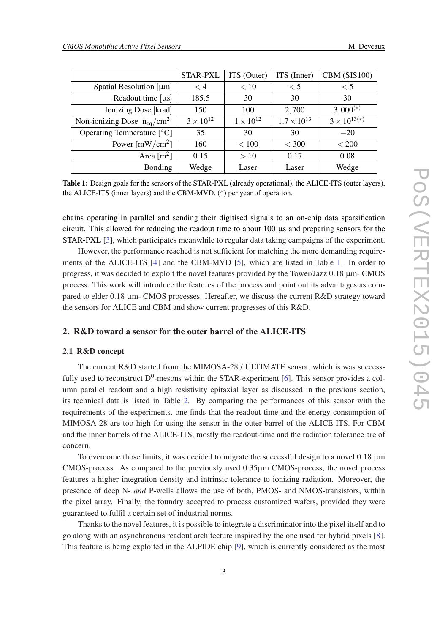<span id="page-2-0"></span>

|                                   | <b>STAR-PXL</b>    | ITS (Outer)        | ITS (Inner)          | CBM (SIS100)                                   |
|-----------------------------------|--------------------|--------------------|----------------------|------------------------------------------------|
| Spatial Resolution $[\mu m]$      | $\lt 4$            | < 10               | $\leq 5$             | $\leq 5$                                       |
| Readout time $[\mu s]$            | 185.5              | 30                 | 30                   | 30                                             |
| Ionizing Dose [krad]              | 150                | 100                | 2,700                | $3,000^{(*)}$                                  |
| Non-ionizing Dose $[n_{eq}/cm^2]$ | $3 \times 10^{12}$ | $1 \times 10^{12}$ | $1.7 \times 10^{13}$ | $\frac{3 \times 10^{13(*)}}{2 \times 10^{13}}$ |
| Operating Temperature $[°C]$      | 35                 | 30                 | 30                   | $-20$                                          |
| Power [mW/cm <sup>2</sup> ]       | 160                | < 100              | $<$ 300              | < 200                                          |
| Area $\rm [m^2]$                  | 0.15               | >10                | 0.17                 | 0.08                                           |
| <b>Bonding</b>                    | Wedge              | Laser              | Laser                | Wedge                                          |

Table 1: Design goals for the sensors of the STAR-PXL (already operational), the ALICE-ITS (outer layers), the ALICE-ITS (inner layers) and the CBM-MVD. (\*) per year of operation.

chains operating in parallel and sending their digitised signals to an on-chip data sparsification circuit. This allowed for reducing the readout time to about  $100 \mu s$  and preparing sensors for the STAR-PXL [[3](#page-7-0)], which participates meanwhile to regular data taking campaigns of the experiment.

However, the performance reached is not sufficient for matching the more demanding requirements of the ALICE-ITS [[4](#page-7-0)] and the CBM-MVD [\[5\]](#page-7-0), which are listed in Table 1. In order to progress, it was decided to exploit the novel features provided by the Tower/Jazz  $0.18 \mu m$ -CMOS process. This work will introduce the features of the process and point out its advantages as compared to elder 0.18 µm- CMOS processes. Hereafter, we discuss the current R&D strategy toward the sensors for ALICE and CBM and show current progresses of this R&D.

## 2. R&D toward a sensor for the outer barrel of the ALICE-ITS

### 2.1 R&D concept

The current R&D started from the MIMOSA-28 / ULTIMATE sensor, which is was successfully used to reconstruct  $D^0$ -mesons within the STAR-experiment [[6](#page-8-0)]. This sensor provides a column parallel readout and a high resistivity epitaxial layer as discussed in the previous section, its technical data is listed in Table [2.](#page-3-0) By comparing the performances of this sensor with the requirements of the experiments, one finds that the readout-time and the energy consumption of MIMOSA-28 are too high for using the sensor in the outer barrel of the ALICE-ITS. For CBM and the inner barrels of the ALICE-ITS, mostly the readout-time and the radiation tolerance are of concern.

To overcome those limits, it was decided to migrate the successful design to a novel  $0.18 \mu m$ CMOS-process. As compared to the previously used  $0.35\mu$ m CMOS-process, the novel process features a higher integration density and intrinsic tolerance to ionizing radiation. Moreover, the presence of deep N- *and* P-wells allows the use of both, PMOS- and NMOS-transistors, within the pixel array. Finally, the foundry accepted to process customized wafers, provided they were guaranteed to fulfil a certain set of industrial norms.

Thanks to the novel features, it is possible to integrate a discriminator into the pixel itself and to go along with an asynchronous readout architecture inspired by the one used for hybrid pixels [\[8\]](#page-8-0). This feature is being exploited in the ALPIDE chip [[9](#page-8-0)], which is currently considered as the most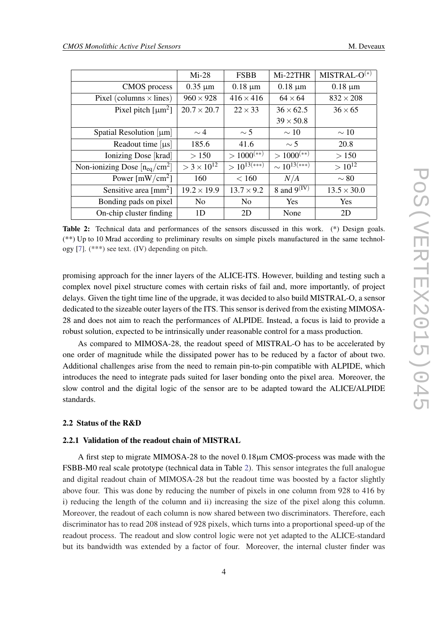<span id="page-3-0"></span>

|                                     | $Mi-28$                         | <b>FSBB</b>              | Mi-22THR                 | $MISTRAL-O(*)$     |
|-------------------------------------|---------------------------------|--------------------------|--------------------------|--------------------|
| <b>CMOS</b> process                 | $0.35 \mu m$                    | $0.18 \mu m$             | $0.18 \mu m$             | $0.18 \mu m$       |
| Pixel (columns $\times$ lines)      | $960 \times 928$                | $416 \times 416$         | $64 \times 64$           | $832 \times 208$   |
| Pixel pitch $\lceil \mu m^2 \rceil$ | $20.7 \times 20.7$              | $22 \times 33$           | $36 \times 62.5$         | $36 \times 65$     |
|                                     |                                 |                          | $39 \times 50.8$         |                    |
| Spatial Resolution $[\mu m]$        | $\sim$ 4                        | $\sim$ 5                 | $\sim$ 10                | $\sim$ 10          |
| Readout time $[\mu s]$              | 185.6                           | 41.6                     | $\sim$ 5                 | 20.8               |
| Ionizing Dose [krad]                | > 150                           | $> 1000$ <sup>(**)</sup> | $> 1000$ <sup>(**)</sup> | >150               |
| Non-ionizing Dose $[n_{eq}/cm^2]$   | $>$ 3 $\times$ 10 <sup>12</sup> | $>10^{13(***)}$          | $\sim 10^{13(**)}$       | $> 10^{12}$        |
| Power $[mW/cm^2]$                   | 160                             | < 160                    | N/A                      | $\sim 80$          |
| Sensitive area $\text{[mm}^2$ ]     | $19.2 \times 19.9$              | $13.7 \times 9.2$        | 8 and $9^{(IV)}$         | $13.5 \times 30.0$ |
| Bonding pads on pixel               | N <sub>0</sub>                  | N <sub>0</sub>           | <b>Yes</b>               | <b>Yes</b>         |
| On-chip cluster finding             | 1D                              | 2D                       | None                     | 2D                 |

Table 2: Technical data and performances of the sensors discussed in this work. (\*) Design goals. (\*\*) Up to 10 Mrad according to preliminary results on simple pixels manufactured in the same technology [\[7](#page-8-0)]. (\*\*\*) see text. (IV) depending on pitch.

promising approach for the inner layers of the ALICE-ITS. However, building and testing such a complex novel pixel structure comes with certain risks of fail and, more importantly, of project delays. Given the tight time line of the upgrade, it was decided to also build MISTRAL-O, a sensor dedicated to the sizeable outer layers of the ITS. This sensor is derived from the existing MIMOSA-28 and does not aim to reach the performances of ALPIDE. Instead, a focus is laid to provide a robust solution, expected to be intrinsically under reasonable control for a mass production.

As compared to MIMOSA-28, the readout speed of MISTRAL-O has to be accelerated by one order of magnitude while the dissipated power has to be reduced by a factor of about two. Additional challenges arise from the need to remain pin-to-pin compatible with ALPIDE, which introduces the need to integrate pads suited for laser bonding onto the pixel area. Moreover, the slow control and the digital logic of the sensor are to be adapted toward the ALICE/ALPIDE standards.

## 2.2 Status of the R&D

## 2.2.1 Validation of the readout chain of MISTRAL

A first step to migrate MIMOSA-28 to the novel 0.18µm CMOS-process was made with the FSBB-M0 real scale prototype (technical data in Table 2). This sensor integrates the full analogue and digital readout chain of MIMOSA-28 but the readout time was boosted by a factor slightly above four. This was done by reducing the number of pixels in one column from 928 to 416 by i) reducing the length of the column and ii) increasing the size of the pixel along this column. Moreover, the readout of each column is now shared between two discriminators. Therefore, each discriminator has to read 208 instead of 928 pixels, which turns into a proportional speed-up of the readout process. The readout and slow control logic were not yet adapted to the ALICE-standard but its bandwidth was extended by a factor of four. Moreover, the internal cluster finder was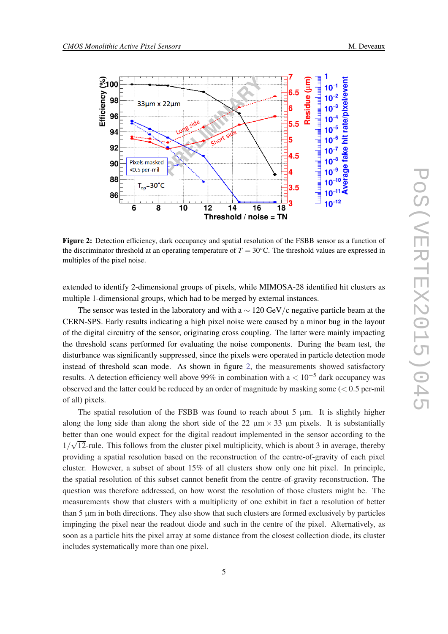

Figure 2: Detection efficiency, dark occupancy and spatial resolution of the FSBB sensor as a function of the discriminator threshold at an operating temperature of  $T = 30\degree$ C. The threshold values are expressed in multiples of the pixel noise.

extended to identify 2-dimensional groups of pixels, while MIMOSA-28 identified hit clusters as multiple 1-dimensional groups, which had to be merged by external instances.

The sensor was tested in the laboratory and with a  $\sim 120 \text{ GeV}/c$  negative particle beam at the CERN-SPS. Early results indicating a high pixel noise were caused by a minor bug in the layout of the digital circuitry of the sensor, originating cross coupling. The latter were mainly impacting the threshold scans performed for evaluating the noise components. During the beam test, the disturbance was significantly suppressed, since the pixels were operated in particle detection mode instead of threshold scan mode. As shown in figure 2, the measurements showed satisfactory results. A detection efficiency well above 99% in combination with  $a < 10^{-5}$  dark occupancy was observed and the latter could be reduced by an order of magnitude by masking some  $(< 0.5$  per-mil of all) pixels.

The spatial resolution of the FSBB was found to reach about 5  $\mu$ m. It is slightly higher along the long side than along the short side of the 22  $\mu$ m × 33  $\mu$ m pixels. It is substantially better than one would expect for the digital readout implemented in the sensor according to the sensor according to the sensor according to the sensor according to the sensor according to the sensor according to the senso  $1/\sqrt{12}$ -rule. This follows from the cluster pixel multiplicity, which is about 3 in average, thereby providing a spatial resolution based on the reconstruction of the centre-of-gravity of each pixel cluster. However, a subset of about 15% of all clusters show only one hit pixel. In principle, the spatial resolution of this subset cannot benefit from the centre-of-gravity reconstruction. The question was therefore addressed, on how worst the resolution of those clusters might be. The measurements show that clusters with a multiplicity of one exhibit in fact a resolution of better than  $5 \mu m$  in both directions. They also show that such clusters are formed exclusively by particles impinging the pixel near the readout diode and such in the centre of the pixel. Alternatively, as soon as a particle hits the pixel array at some distance from the closest collection diode, its cluster includes systematically more than one pixel.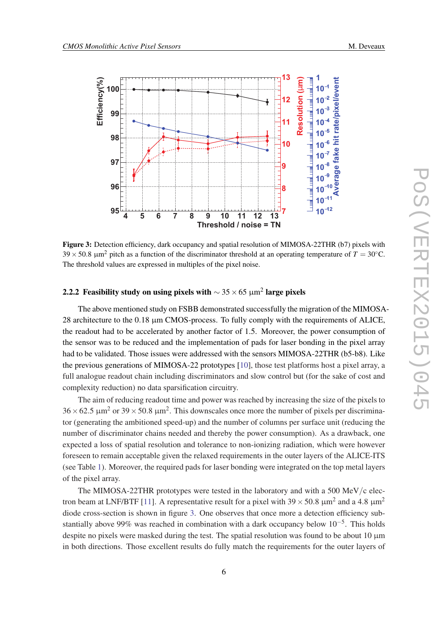

Figure 3: Detection efficiency, dark occupancy and spatial resolution of MIMOSA-22THR (b7) pixels with  $39 \times 50.8$   $\mu$ m<sup>2</sup> pitch as a function of the discriminator threshold at an operating temperature of  $T = 30^{\circ}$ C. The threshold values are expressed in multiples of the pixel noise.

## 2.2.2 Feasibility study on using pixels with  $\sim$  35  $\times$  65  $\mu\mathrm{m}^2$  large pixels

The above mentioned study on FSBB demonstrated successfully the migration of the MIMOSA-28 architecture to the 0.18  $\mu$ m CMOS-process. To fully comply with the requirements of ALICE, the readout had to be accelerated by another factor of 1.5. Moreover, the power consumption of the sensor was to be reduced and the implementation of pads for laser bonding in the pixel array had to be validated. Those issues were addressed with the sensors MIMOSA-22THR (b5-b8). Like the previous generations of MIMOSA-22 prototypes [[10\]](#page-8-0), those test platforms host a pixel array, a full analogue readout chain including discriminators and slow control but (for the sake of cost and complexity reduction) no data sparsification circuitry.

The aim of reducing readout time and power was reached by increasing the size of the pixels to  $36 \times 62.5 \text{ }\mu\text{m}^2$  or  $39 \times 50.8 \text{ }\mu\text{m}^2$ . This downscales once more the number of pixels per discriminator (generating the ambitioned speed-up) and the number of columns per surface unit (reducing the number of discriminator chains needed and thereby the power consumption). As a drawback, one expected a loss of spatial resolution and tolerance to non-ionizing radiation, which were however foreseen to remain acceptable given the relaxed requirements in the outer layers of the ALICE-ITS (see Table [1\)](#page-2-0). Moreover, the required pads for laser bonding were integrated on the top metal layers of the pixel array.

The MIMOSA-22THR prototypes were tested in the laboratory and with a 500 MeV/c elec-tron beam at LNF/BTF [[11\]](#page-8-0). A representative result for a pixel with  $39 \times 50.8 \mu m^2$  and a 4.8  $\mu m^2$ diode cross-section is shown in figure 3. One observes that once more a detection efficiency substantially above 99% was reached in combination with a dark occupancy below  $10^{-5}$ . This holds despite no pixels were masked during the test. The spatial resolution was found to be about 10  $\mu$ m in both directions. Those excellent results do fully match the requirements for the outer layers of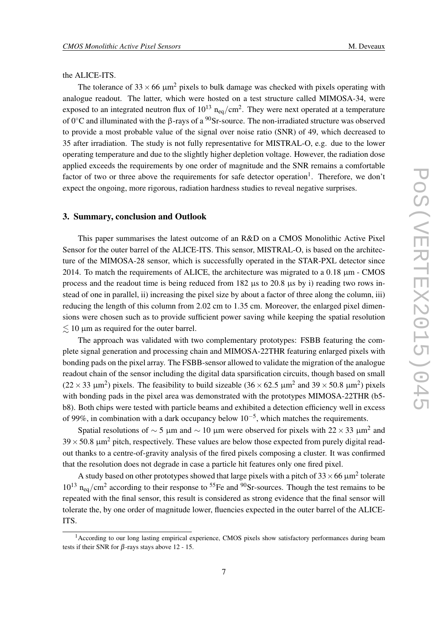#### the ALICE-ITS.

The tolerance of  $33 \times 66 \mu m^2$  pixels to bulk damage was checked with pixels operating with analogue readout. The latter, which were hosted on a test structure called MIMOSA-34, were exposed to an integrated neutron flux of  $10^{13}$   $n_{eq}/cm^2$ . They were next operated at a temperature of 0 $°C$  and illuminated with the β-rays of a  $90$ Sr-source. The non-irradiated structure was observed to provide a most probable value of the signal over noise ratio (SNR) of 49, which decreased to 35 after irradiation. The study is not fully representative for MISTRAL-O, e.g. due to the lower operating temperature and due to the slightly higher depletion voltage. However, the radiation dose applied exceeds the requirements by one order of magnitude and the SNR remains a comfortable factor of two or three above the requirements for safe detector operation<sup>1</sup>. Therefore, we don't expect the ongoing, more rigorous, radiation hardness studies to reveal negative surprises.

#### 3. Summary, conclusion and Outlook

This paper summarises the latest outcome of an R&D on a CMOS Monolithic Active Pixel Sensor for the outer barrel of the ALICE-ITS. This sensor, MISTRAL-O, is based on the architecture of the MIMOSA-28 sensor, which is successfully operated in the STAR-PXL detector since 2014. To match the requirements of ALICE, the architecture was migrated to a 0.18 µm - CMOS process and the readout time is being reduced from  $182 \mu s$  to  $20.8 \mu s$  by i) reading two rows instead of one in parallel, ii) increasing the pixel size by about a factor of three along the column, iii) reducing the length of this column from 2.02 cm to 1.35 cm. Moreover, the enlarged pixel dimensions were chosen such as to provide sufficient power saving while keeping the spatial resolution  $\leq 10$  µm as required for the outer barrel.

The approach was validated with two complementary prototypes: FSBB featuring the complete signal generation and processing chain and MIMOSA-22THR featuring enlarged pixels with bonding pads on the pixel array. The FSBB-sensor allowed to validate the migration of the analogue readout chain of the sensor including the digital data sparsification circuits, though based on small (22 × 33  $\mu$ m<sup>2</sup>) pixels. The feasibility to build sizeable (36 × 62.5  $\mu$ m<sup>2</sup> and 39 × 50.8  $\mu$ m<sup>2</sup>) pixels with bonding pads in the pixel area was demonstrated with the prototypes MIMOSA-22THR (b5 b8). Both chips were tested with particle beams and exhibited a detection efficiency well in excess of 99%, in combination with a dark occupancy below  $10^{-5}$ , which matches the requirements.

Spatial resolutions of  $\sim$  5 µm and  $\sim$  10 µm were observed for pixels with 22  $\times$  33 µm<sup>2</sup> and  $39 \times 50.8$   $\mu$ m<sup>2</sup> pitch, respectively. These values are below those expected from purely digital readout thanks to a centre-of-gravity analysis of the fired pixels composing a cluster. It was confirmed that the resolution does not degrade in case a particle hit features only one fired pixel.

A study based on other prototypes showed that large pixels with a pitch of 33  $\times$  66  $\mu$ m<sup>2</sup> tolerate  $10^{13}$  n<sub>eq</sub>/cm<sup>2</sup> according to their response to <sup>55</sup>Fe and <sup>90</sup>Sr-sources. Though the test remains to be repeated with the final sensor, this result is considered as strong evidence that the final sensor will tolerate the, by one order of magnitude lower, fluencies expected in the outer barrel of the ALICE-ITS.

<sup>&</sup>lt;sup>1</sup> According to our long lasting empirical experience, CMOS pixels show satisfactory performances during beam tests if their SNR for  $\beta$ -rays stays above 12 - 15.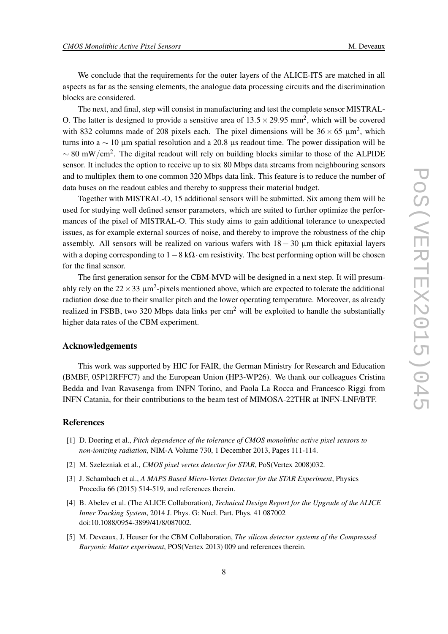<span id="page-7-0"></span>We conclude that the requirements for the outer layers of the ALICE-ITS are matched in all aspects as far as the sensing elements, the analogue data processing circuits and the discrimination blocks are considered.

The next, and final, step will consist in manufacturing and test the complete sensor MISTRAL-O. The latter is designed to provide a sensitive area of  $13.5 \times 29.95$  mm<sup>2</sup>, which will be covered with 832 columns made of 208 pixels each. The pixel dimensions will be  $36 \times 65 \mu m^2$ , which turns into a  $\sim$  10 µm spatial resolution and a 20.8 µs readout time. The power dissipation will be  $\sim 80$  mW/cm<sup>2</sup>. The digital readout will rely on building blocks similar to those of the ALPIDE sensor. It includes the option to receive up to six 80 Mbps data streams from neighbouring sensors and to multiplex them to one common 320 Mbps data link. This feature is to reduce the number of data buses on the readout cables and thereby to suppress their material budget.

Together with MISTRAL-O, 15 additional sensors will be submitted. Six among them will be used for studying well defined sensor parameters, which are suited to further optimize the performances of the pixel of MISTRAL-O. This study aims to gain additional tolerance to unexpected issues, as for example external sources of noise, and thereby to improve the robustness of the chip assembly. All sensors will be realized on various wafers with  $18 - 30 \mu m$  thick epitaxial layers with a doping corresponding to  $1-8$  k $\Omega$ · cm resistivity. The best performing option will be chosen for the final sensor.

The first generation sensor for the CBM-MVD will be designed in a next step. It will presumably rely on the 22  $\times$  33  $\mu$ m<sup>2</sup>-pixels mentioned above, which are expected to tolerate the additional radiation dose due to their smaller pitch and the lower operating temperature. Moreover, as already realized in FSBB, two 320 Mbps data links per  $cm<sup>2</sup>$  will be exploited to handle the substantially higher data rates of the CBM experiment.

## Acknowledgements

This work was supported by HIC for FAIR, the German Ministry for Research and Education (BMBF, 05P12RFFC7) and the European Union (HP3-WP26). We thank our colleagues Cristina Bedda and Ivan Ravasenga from INFN Torino, and Paola La Rocca and Francesco Riggi from INFN Catania, for their contributions to the beam test of MIMOSA-22THR at INFN-LNF/BTF.

## References

- [1] D. Doering et al., *Pitch dependence of the tolerance of CMOS monolithic active pixel sensors to non-ionizing radiation*, NIM-A Volume 730, 1 December 2013, Pages 111-114.
- [2] M. Szelezniak et al., *CMOS pixel vertex detector for STAR*, PoS(Vertex 2008)032.
- [3] J. Schambach et al., *A MAPS Based Micro-Vertex Detector for the STAR Experiment*, Physics Procedia 66 (2015) 514-519, and references therein.
- [4] B. Abelev et al. (The ALICE Collaboration), *Technical Design Report for the Upgrade of the ALICE Inner Tracking System*, 2014 J. Phys. G: Nucl. Part. Phys. 41 087002 doi:10.1088/0954-3899/41/8/087002.
- [5] M. Deveaux, J. Heuser for the CBM Collaboration, *The silicon detector systems of the Compressed Baryonic Matter experiment*, POS(Vertex 2013) 009 and references therein.